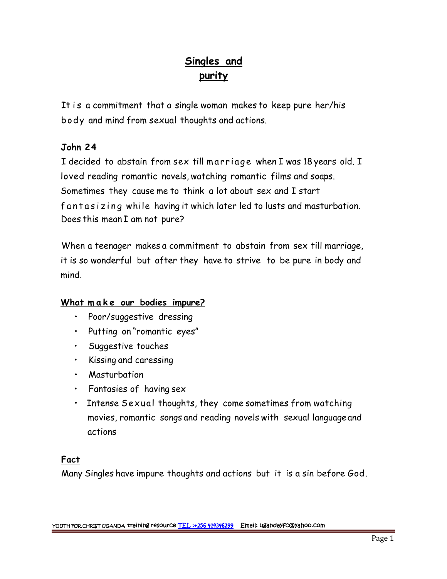# **Singles and purity**

It is a commitment that a single woman makes to keep pure her/his body and mind from sexual thoughts and actions.

# **John 24**

I is a seminimism that a single womant marks to hesp parts her, the<br>body and mind from sexual thoughts and actions.<br>**John 24**<br>I decided to abstain from sex till marriage when I was 18 years old. I<br>loved reading romantic no loved reading romantic novels, watching romantic films and soaps. Sometimes they cause me to think a lot about sex and I start I decided to abstain from sex till marriage when I was 18 years old. I<br>loved reading romantic novels, watching romantic films and soaps.<br>Sometimes they cause me to think a lot about sex and I start<br>fantasizing while having Does this mean I am not pure?

When a teenager makes a commitment to abstain from sex till marriage, it is so wonderful but after they have to strive to be pure in body and mind. *What make our bodies imments to all it is so wonderful but after they have to s*<br>mind.<br>What make our bodies impure?<br>• Poor/suggestive dressing

- Poor/suggestive dressing
- Putting on "romantic eyes"
- Suggestive touches
- Kissing and caressing
- Masturbation
- Fantasies of having sex
- Intense Sexual thoughts, they come sometimes from watching movies, romantic songs and reading novels with sexual languageand actions

# **Fact**

Many Singles have impure thoughts and actions but it is a sin before God.